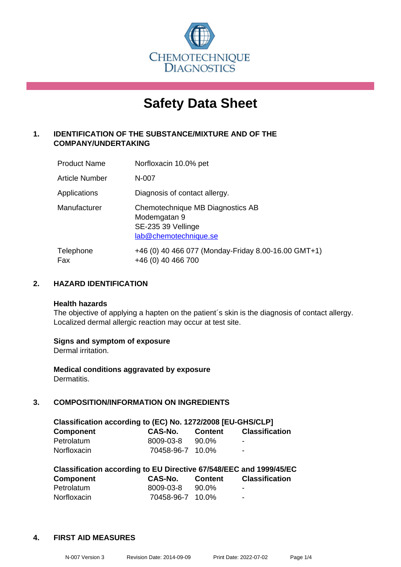

# **Safety Data Sheet**

# **1. IDENTIFICATION OF THE SUBSTANCE/MIXTURE AND OF THE COMPANY/UNDERTAKING**

| <b>Product Name</b> | Norfloxacin 10.0% pet                                                                           |
|---------------------|-------------------------------------------------------------------------------------------------|
| Article Number      | N-007                                                                                           |
| Applications        | Diagnosis of contact allergy.                                                                   |
| Manufacturer        | Chemotechnique MB Diagnostics AB<br>Modemgatan 9<br>SE-235 39 Vellinge<br>lab@chemotechnique.se |
| Telephone<br>Fax    | +46 (0) 40 466 077 (Monday-Friday 8.00-16.00 GMT+1)<br>+46 (0) 40 466 700                       |

# **2. HAZARD IDENTIFICATION**

#### **Health hazards**

The objective of applying a hapten on the patient's skin is the diagnosis of contact allergy. Localized dermal allergic reaction may occur at test site.

#### **Signs and symptom of exposure**

Dermal irritation.

**Medical conditions aggravated by exposure** Dermatitis.

# **3. COMPOSITION/INFORMATION ON INGREDIENTS**

| Classification according to (EC) No. 1272/2008 [EU-GHS/CLP] |                  |                |                       |  |
|-------------------------------------------------------------|------------------|----------------|-----------------------|--|
| <b>Component</b>                                            | CAS-No.          | <b>Content</b> | <b>Classification</b> |  |
| Petrolatum                                                  | 8009-03-8        | 90.0%          | -                     |  |
| Norfloxacin                                                 | 70458-96-7 10.0% |                | $\blacksquare$        |  |

| Classification according to EU Directive 67/548/EEC and 1999/45/EC |                  |                |                       |  |  |
|--------------------------------------------------------------------|------------------|----------------|-----------------------|--|--|
| <b>Component</b>                                                   | CAS-No.          | <b>Content</b> | <b>Classification</b> |  |  |
| Petrolatum                                                         | 8009-03-8        | 90.0%          | ٠                     |  |  |
| Norfloxacin                                                        | 70458-96-7 10.0% |                | -                     |  |  |

#### **4. FIRST AID MEASURES**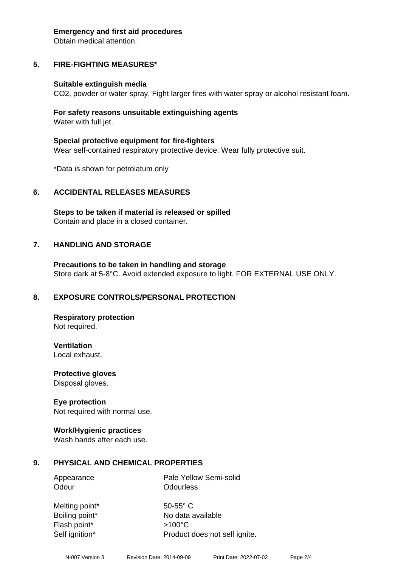#### **Emergency and first aid procedures**

Obtain medical attention.

# **5. FIRE-FIGHTING MEASURES\***

#### **Suitable extinguish media**

CO2, powder or water spray. Fight larger fires with water spray or alcohol resistant foam.

#### **For safety reasons unsuitable extinguishing agents** Water with full jet.

**Special protective equipment for fire-fighters**

Wear self-contained respiratory protective device. Wear fully protective suit.

\*Data is shown for petrolatum only

#### **6. ACCIDENTAL RELEASES MEASURES**

**Steps to be taken if material is released or spilled** Contain and place in a closed container.

#### **7. HANDLING AND STORAGE**

**Precautions to be taken in handling and storage** Store dark at 5-8°C. Avoid extended exposure to light. FOR EXTERNAL USE ONLY.

#### **8. EXPOSURE CONTROLS/PERSONAL PROTECTION**

**Respiratory protection** Not required.

**Ventilation**

Local exhaust.

**Protective gloves** Disposal gloves.

#### **Eye protection**

Not required with normal use.

#### **Work/Hygienic practices**

Wash hands after each use.

#### **9. PHYSICAL AND CHEMICAL PROPERTIES**

Appearance Pale Yellow Semi-solid Odour **Odourless** 

Melting point\* 50-55° C Flash point\* >100°C Self ignition\* Product does not self ignite.

Boiling point\* No data available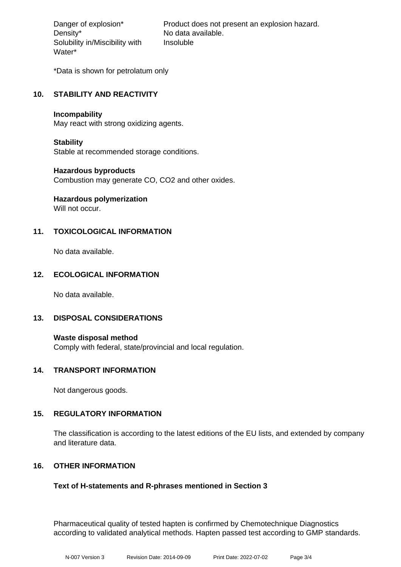Density\* No data available. Solubility in/Miscibility with Water\*

Danger of explosion\* Product does not present an explosion hazard. Insoluble

\*Data is shown for petrolatum only

# **10. STABILITY AND REACTIVITY**

#### **Incompability**

May react with strong oxidizing agents.

#### **Stability**

Stable at recommended storage conditions.

#### **Hazardous byproducts**

Combustion may generate CO, CO2 and other oxides.

# **Hazardous polymerization**

Will not occur.

# **11. TOXICOLOGICAL INFORMATION**

No data available.

#### **12. ECOLOGICAL INFORMATION**

No data available.

#### **13. DISPOSAL CONSIDERATIONS**

**Waste disposal method** Comply with federal, state/provincial and local regulation.

#### **14. TRANSPORT INFORMATION**

Not dangerous goods.

#### **15. REGULATORY INFORMATION**

The classification is according to the latest editions of the EU lists, and extended by company and literature data.

#### **16. OTHER INFORMATION**

#### **Text of H-statements and R-phrases mentioned in Section 3**

Pharmaceutical quality of tested hapten is confirmed by Chemotechnique Diagnostics according to validated analytical methods. Hapten passed test according to GMP standards.